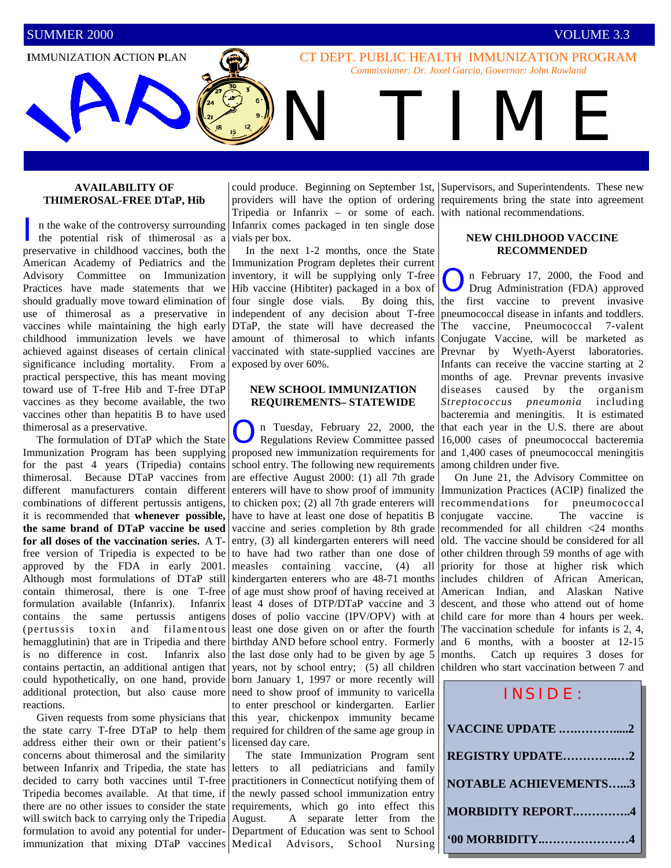**I**MMUNIZATION **A**CTION **P**LAN

CT DEPT. PUBLIC HEALTH IMMUNIZATION PROGRAM *Commissioner: Dr. Joxel Garcia, Governor: John Rowland* 

N TIME

#### **AVAILABILITY OF THIMEROSAL-FREE DTaP, Hib**

I n the wake of the controversy surrounding Infanrix comes packaged in ten single dose<br>the potential risk of thimerosal as a vials per box. the potential risk of thimerosal as a preservative in childhood vaccines, both the American Academy of Pediatrics and the Advisory Committee on Immunization Practices have made statements that we should gradually move toward elimination of use of thimerosal as a preservative in vaccines while maintaining the high early childhood immunization levels we have achieved against diseases of certain clinical significance including mortality. From a practical perspective, this has meant moving toward use of T-free Hib and T-free DTaP vaccines as they become available, the two vaccines other than hepatitis B to have used thimerosal as a preservative.

 The formulation of DTaP which the State Immunization Program has been supplying for the past 4 years (Tripedia) contains thimerosal. Because DTaP vaccines from different manufacturers contain different combinations of different pertussis antigens, it is recommended that **whenever possible, the same brand of DTaP vaccine be used for all doses of the vaccination series.** A Tfree version of Tripedia is expected to be approved by the FDA in early 2001. Although most formulations of DTaP still contain thimerosal, there is one T-free formulation available (Infanrix). Infanrix contains the same pertussis antigens (pertussis toxin and filamentous hemagglutinin) that are in Tripedia and there is no difference in cost. Infanrix also contains pertactin, an additional antigen that could hypothetically, on one hand, provide additional protection, but also cause more reactions.

 Given requests from some physicians that the state carry T-free DTaP to help them address either their own or their patient's concerns about thimerosal and the similarity between Infanrix and Tripedia, the state has letters to all pediatricians and family decided to carry both vaccines until T-free Tripedia becomes available. At that time, if there are no other issues to consider the state will switch back to carrying only the Tripedia formulation to avoid any potential for underimmunization that mixing DTaP vaccines Medical Advisors, School Nursing

Tripedia or Infanrix – or some of each. vials per box.

 In the next 1-2 months, once the State Immunization Program depletes their current inventory, it will be supplying only T-free Hib vaccine (Hibtiter) packaged in a box of four single dose vials. By doing this, independent of any decision about T-free DTaP, the state will have decreased the amount of thimerosal to which infants vaccinated with state-supplied vaccines are exposed by over 60%.

## **NEW SCHOOL IMMUNIZATION REQUIREMENTS– STATEWIDE**

n Tuesday, February 22, 2000, the Regulations Review Committee passed proposed new immunization requirements for school entry. The following new requirements are effective August 2000: (1) all 7th grade enterers will have to show proof of immunity to chicken pox; (2) all 7th grade enterers will have to have at least one dose of hepatitis B vaccine and series completion by 8th grade entry, (3) all kindergarten enterers will need to have had two rather than one dose of measles containing vaccine, (4) all kindergarten enterers who are 48-71 months of age must show proof of having received at least 4 doses of DTP/DTaP vaccine and 3 doses of polio vaccine (IPV/OPV) with at least one dose given on or after the fourth birthday AND before school entry. Formerly the last dose only had to be given by age 5 years, not by school entry; (5) all children born January 1, 1997 or more recently will need to show proof of immunity to varicella to enter preschool or kindergarten. Earlier this year, chickenpox immunity became required for children of the same age group in licensed day care.

 The state Immunization Program sent practitioners in Connecticut notifying them of the newly passed school immunization entry requirements, which go into effect this August. A separate letter from the Department of Education was sent to School

could produce. Beginning on September 1st, Supervisors, and Superintendents. These new providers will have the option of ordering requirements bring the state into agreement with national recommendations.

#### **NEW CHILDHOOD VACCINE RECOMMENDED**

On February 17, 2000, the Food and Drug Administration (FDA) approved the first vaccine to prevent invasive pneumococcal disease in infants and toddlers. The vaccine, Pneumococcal 7-valent Conjugate Vaccine, will be marketed as Prevnar by Wyeth-Ayerst laboratories. Infants can receive the vaccine starting at 2 months of age. Prevnar prevents invasive diseases caused by the organism *Streptococcus pneumonia* including bacteremia and meningitis. It is estimated that each year in the U.S. there are about 16,000 cases of pneumococcal bacteremia and 1,400 cases of pneumococcal meningitis among children under five.

 On June 21, the Advisory Committee on Immunization Practices (ACIP) finalized the recommendations for pneumococcal conjugate vaccine. The vaccine is recommended for all children <24 months old. The vaccine should be considered for all other children through 59 months of age with priority for those at higher risk which includes children of African American, American Indian, and Alaskan Native descent, and those who attend out of home child care for more than 4 hours per week. The vaccination schedule for infants is 2, 4, and 6 months, with a booster at 12-15 months. Catch up requires 3 doses for children who start vaccination between 7 and

| INSIDE:                      |
|------------------------------|
| VACCINE UPDATE 2             |
| REGISTRY UPDATE2             |
| <b>NOTABLE ACHIEVEMENTS3</b> |
| <b>MORBIDITY REPORT4</b>     |
| <b>'00 MORBIDITY</b>         |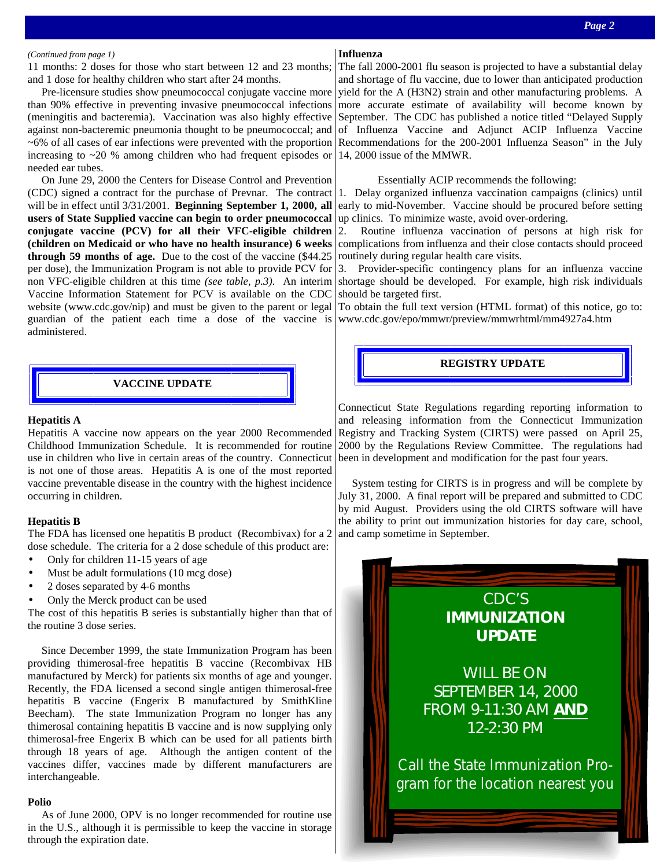#### *(Continued from page 1)*

11 months: 2 doses for those who start between 12 and 23 months; and 1 dose for healthy children who start after 24 months.

 Pre-licensure studies show pneumococcal conjugate vaccine more than 90% effective in preventing invasive pneumococcal infections (meningitis and bacteremia). Vaccination was also highly effective against non-bacteremic pneumonia thought to be pneumococcal; and ~6% of all cases of ear infections were prevented with the proportion increasing to ~20 % among children who had frequent episodes or needed ear tubes.

 On June 29, 2000 the Centers for Disease Control and Prevention (CDC) signed a contract for the purchase of Prevnar. The contract will be in effect until 3/31/2001. **Beginning September 1, 2000, all users of State Supplied vaccine can begin to order pneumococcal conjugate vaccine (PCV) for all their VFC-eligible children (children on Medicaid or who have no health insurance) 6 weeks through 59 months of age.** Due to the cost of the vaccine (\$44.25 per dose), the Immunization Program is not able to provide PCV for non VFC-eligible children at this time *(see table, p.3)*. An interim Vaccine Information Statement for PCV is available on the CDC website (www.cdc.gov/nip) and must be given to the parent or legal guardian of the patient each time a dose of the vaccine is administered.

# **VACCINE UPDATE**

#### **Hepatitis A**

Hepatitis A vaccine now appears on the year 2000 Recommended Childhood Immunization Schedule. It is recommended for routine use in children who live in certain areas of the country. Connecticut is not one of those areas. Hepatitis A is one of the most reported vaccine preventable disease in the country with the highest incidence occurring in children.

#### **Hepatitis B**

The FDA has licensed one hepatitis B product (Recombivax) for a 2 dose schedule. The criteria for a 2 dose schedule of this product are:

- Only for children 11-15 years of age
- Must be adult formulations (10 mcg dose)
- 2 doses separated by 4-6 months
- Only the Merck product can be used

The cost of this hepatitis B series is substantially higher than that of the routine 3 dose series.

 Since December 1999, the state Immunization Program has been providing thimerosal-free hepatitis B vaccine (Recombivax HB manufactured by Merck) for patients six months of age and younger. Recently, the FDA licensed a second single antigen thimerosal-free hepatitis B vaccine (Engerix B manufactured by SmithKline Beecham). The state Immunization Program no longer has any thimerosal containing hepatitis B vaccine and is now supplying only thimerosal-free Engerix B which can be used for all patients birth through 18 years of age. Although the antigen content of the vaccines differ, vaccines made by different manufacturers are interchangeable.

#### **Polio**

 As of June 2000, OPV is no longer recommended for routine use in the U.S., although it is permissible to keep the vaccine in storage through the expiration date.

## **Influenza**

The fall 2000-2001 flu season is projected to have a substantial delay and shortage of flu vaccine, due to lower than anticipated production yield for the A (H3N2) strain and other manufacturing problems. A more accurate estimate of availability will become known by September. The CDC has published a notice titled "Delayed Supply of Influenza Vaccine and Adjunct ACIP Influenza Vaccine Recommendations for the 200-2001 Influenza Season" in the July 14, 2000 issue of the MMWR.

#### Essentially ACIP recommends the following:

1. Delay organized influenza vaccination campaigns (clinics) until early to mid-November. Vaccine should be procured before setting up clinics. To minimize waste, avoid over-ordering.

2. Routine influenza vaccination of persons at high risk for complications from influenza and their close contacts should proceed routinely during regular health care visits.

3. Provider-specific contingency plans for an influenza vaccine shortage should be developed. For example, high risk individuals should be targeted first.

To obtain the full text version (HTML format) of this notice, go to: www.cdc.gov/epo/mmwr/preview/mmwrhtml/mm4927a4.htm

#### **REGISTRY UPDATE**

Connecticut State Regulations regarding reporting information to and releasing information from the Connecticut Immunization Registry and Tracking System (CIRTS) were passed on April 25, 2000 by the Regulations Review Committee. The regulations had been in development and modification for the past four years.

 System testing for CIRTS is in progress and will be complete by July 31, 2000. A final report will be prepared and submitted to CDC by mid August. Providers using the old CIRTS software will have the ability to print out immunization histories for day care, school, and camp sometime in September.

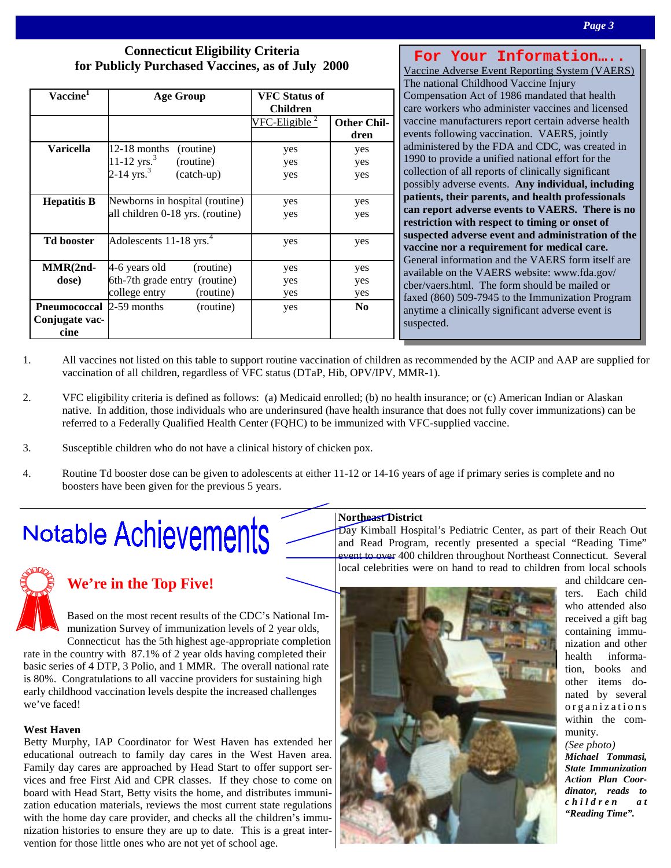# **Connecticut Eligibility Criteria for Publicly Purchased Vaccines, as of July 2000**

| Vaccine <sup>1</sup>                                      | Age Group                                                                                     | <b>VFC Status of</b><br><b>Children</b> |                            |
|-----------------------------------------------------------|-----------------------------------------------------------------------------------------------|-----------------------------------------|----------------------------|
|                                                           |                                                                                               | $VFC$ -Eligible $^2$                    | <b>Other Chil-</b><br>dren |
| Varicella                                                 | 12-18 months<br>(routine)<br>11-12 $yrs.3$<br>(routine)<br>2-14 $\text{yrs.}^3$<br>(catch-up) | yes<br>yes<br>yes                       | yes<br>yes<br>yes          |
| <b>Hepatitis B</b>                                        | Newborns in hospital (routine)<br>all children 0-18 yrs. (routine)                            | yes<br>yes                              | yes<br>yes                 |
| <b>Td booster</b>                                         | Adolescents 11-18 yrs. $4$                                                                    | yes                                     | yes                        |
| $MMR(2nd-$<br>dose)                                       | 4-6 years old<br>(routine)<br>6th-7th grade entry (routine)<br>college entry<br>(routine)     | yes<br>yes<br>yes                       | yes<br>yes<br>yes          |
| <b>Pneumococcal</b> 2-59 months<br>Conjugate vac-<br>cine | (routine)                                                                                     | yes                                     | N <sub>0</sub>             |

**For Your Information…..**  Vaccine Adverse Event Reporting System (VAERS) The national Childhood Vaccine Injury Compensation Act of 1986 mandated that health care workers who administer vaccines and licensed vaccine manufacturers report certain adverse health events following vaccination. VAERS, jointly administered by the FDA and CDC, was created in 1990 to provide a unified national effort for the collection of all reports of clinically significant possibly adverse events. **Any individual, including patients, their parents, and health professionals can report adverse events to VAERS. There is no restriction with respect to timing or onset of suspected adverse event and administration of the vaccine nor a requirement for medical care.** General information and the VAERS form itself are available on the VAERS website: www.fda.gov/ cber/vaers.html. The form should be mailed or faxed (860) 509-7945 to the Immunization Program anytime a clinically significant adverse event is suspected.

- 1. All vaccines not listed on this table to support routine vaccination of children as recommended by the ACIP and AAP are supplied for vaccination of all children, regardless of VFC status (DTaP, Hib, OPV/IPV, MMR-1).
- 2. VFC eligibility criteria is defined as follows: (a) Medicaid enrolled; (b) no health insurance; or (c) American Indian or Alaskan native. In addition, those individuals who are underinsured (have health insurance that does not fully cover immunizations) can be referred to a Federally Qualified Health Center (FQHC) to be immunized with VFC-supplied vaccine.
- 3. Susceptible children who do not have a clinical history of chicken pox.
- 4. Routine Td booster dose can be given to adolescents at either 11-12 or 14-16 years of age if primary series is complete and no boosters have been given for the previous 5 years.

# Notable Achievements



# **We're in the Top Five!**

Based on the most recent results of the CDC's National Immunization Survey of immunization levels of 2 year olds,

Connecticut has the 5th highest age-appropriate completion rate in the country with 87.1% of 2 year olds having completed their basic series of 4 DTP, 3 Polio, and 1 MMR. The overall national rate is 80%. Congratulations to all vaccine providers for sustaining high early childhood vaccination levels despite the increased challenges we've faced!

## **West Haven**

Betty Murphy, IAP Coordinator for West Haven has extended her educational outreach to family day cares in the West Haven area. Family day cares are approached by Head Start to offer support services and free First Aid and CPR classes. If they chose to come on board with Head Start, Betty visits the home, and distributes immunization education materials, reviews the most current state regulations with the home day care provider, and checks all the children's immunization histories to ensure they are up to date. This is a great intervention for those little ones who are not yet of school age.

## **Northeast District**

Day Kimball Hospital's Pediatric Center, as part of their Reach Out and Read Program, recently presented a special "Reading Time" event to over 400 children throughout Northeast Connecticut. Several local celebrities were on hand to read to children from local schools



and childcare centers. Each child who attended also received a gift bag containing immunization and other health information, books and other items donated by several organizations within the community.

#### *(See photo)*

*Michael Tommasi, State Immunization Action Plan Coordinator, reads to c h i l d r e n a t "Reading Time".*